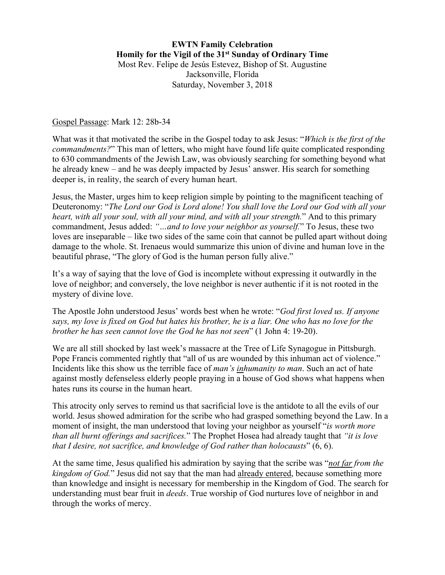## Gospel Passage: Mark 12: 28b-34

What was it that motivated the scribe in the Gospel today to ask Jesus: "*Which is the first of the commandments?*" This man of letters, who might have found life quite complicated responding to 630 commandments of the Jewish Law, was obviously searching for something beyond what he already knew – and he was deeply impacted by Jesus' answer. His search for something deeper is, in reality, the search of every human heart.

Jesus, the Master, urges him to keep religion simple by pointing to the magnificent teaching of Deuteronomy: "*The Lord our God is Lord alone! You shall love the Lord our God with all your heart, with all your soul, with all your mind, and with all your strength.*" And to this primary commandment, Jesus added: *"…and to love your neighbor as yourself.*" To Jesus, these two loves are inseparable – like two sides of the same coin that cannot be pulled apart without doing damage to the whole. St. Irenaeus would summarize this union of divine and human love in the beautiful phrase, "The glory of God is the human person fully alive."

It's a way of saying that the love of God is incomplete without expressing it outwardly in the love of neighbor; and conversely, the love neighbor is never authentic if it is not rooted in the mystery of divine love.

The Apostle John understood Jesus' words best when he wrote: "*God first loved us. If anyone says, my love is fixed on God but hates his brother, he is a liar. One who has no love for the brother he has seen cannot love the God he has not seen*" (1 John 4: 19-20).

We are all still shocked by last week's massacre at the Tree of Life Synagogue in Pittsburgh. Pope Francis commented rightly that "all of us are wounded by this inhuman act of violence." Incidents like this show us the terrible face of *man's inhumanity to man*. Such an act of hate against mostly defenseless elderly people praying in a house of God shows what happens when hates runs its course in the human heart.

This atrocity only serves to remind us that sacrificial love is the antidote to all the evils of our world. Jesus showed admiration for the scribe who had grasped something beyond the Law. In a moment of insight, the man understood that loving your neighbor as yourself "*is worth more than all burnt offerings and sacrifices.*" The Prophet Hosea had already taught that *"it is love that I desire, not sacrifice, and knowledge of God rather than holocausts*" (6, 6).

At the same time, Jesus qualified his admiration by saying that the scribe was "*not far from the kingdom of God.*" Jesus did not say that the man had already entered, because something more than knowledge and insight is necessary for membership in the Kingdom of God. The search for understanding must bear fruit in *deeds*. True worship of God nurtures love of neighbor in and through the works of mercy.